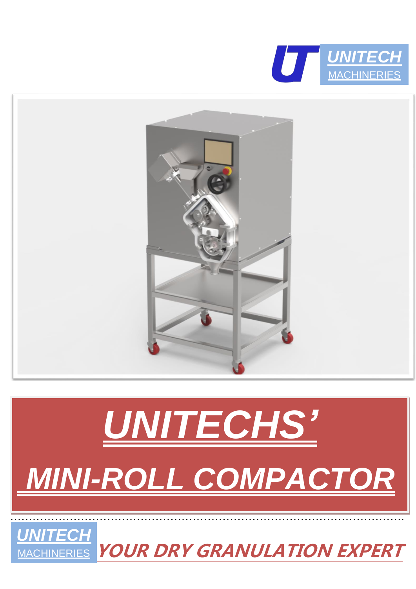



# *UNITECHS' MINI-ROLL COMPACTOR*

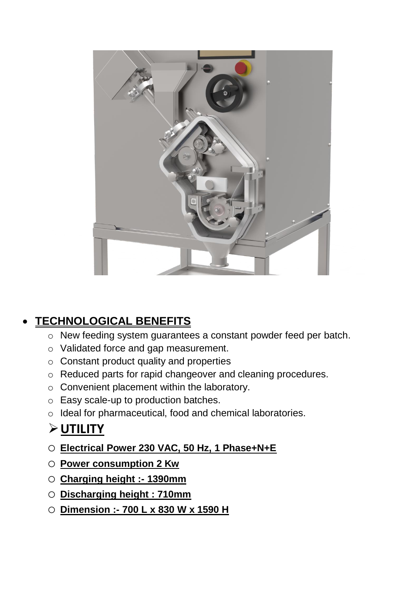

#### • **TECHNOLOGICAL BENEFITS**

- o New feeding system guarantees a constant powder feed per batch.
- o Validated force and gap measurement.
- o Constant product quality and properties
- o Reduced parts for rapid changeover and cleaning procedures.
- o Convenient placement within the laboratory.
- o Easy scale-up to production batches.
- o Ideal for pharmaceutical, food and chemical laboratories.

#### ➢**UTILITY**

- o **Electrical Power 230 VAC, 50 Hz, 1 Phase+N+E**
- o **Power consumption 2 Kw**
- o **Charging height :- 1390mm**
- o **Discharging height : 710mm**
- o **Dimension :- 700 L x 830 W x 1590 H**